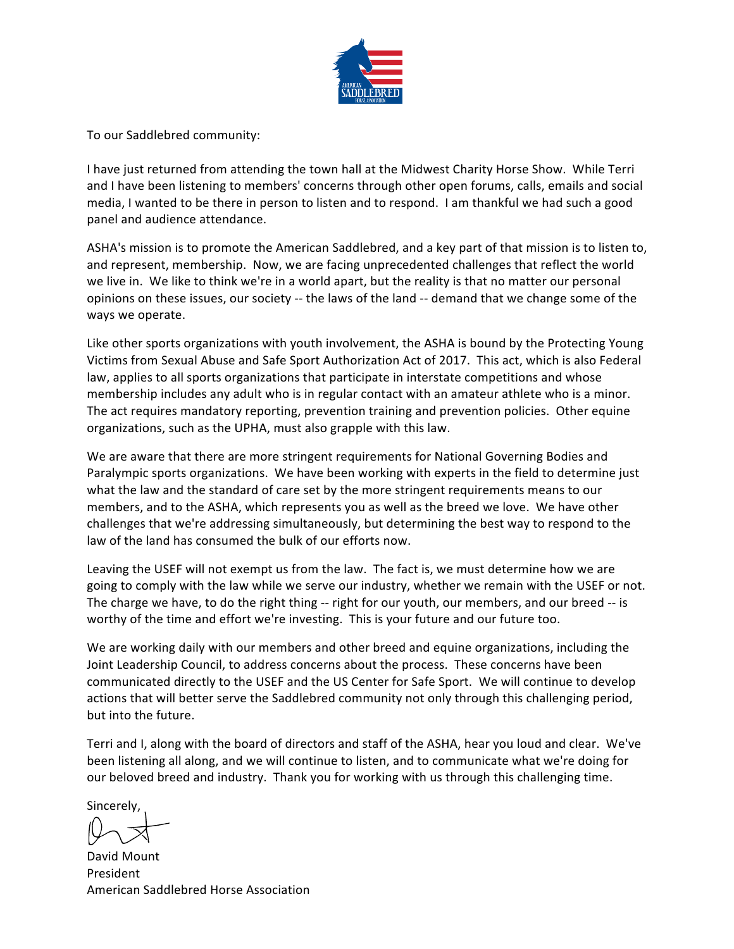

To our Saddlebred community:

I have just returned from attending the town hall at the Midwest Charity Horse Show. While Terri and I have been listening to members' concerns through other open forums, calls, emails and social media, I wanted to be there in person to listen and to respond. I am thankful we had such a good panel and audience attendance.

ASHA's mission is to promote the American Saddlebred, and a key part of that mission is to listen to, and represent, membership. Now, we are facing unprecedented challenges that reflect the world we live in. We like to think we're in a world apart, but the reality is that no matter our personal opinions on these issues, our society -- the laws of the land -- demand that we change some of the ways we operate.

Like other sports organizations with youth involvement, the ASHA is bound by the Protecting Young Victims from Sexual Abuse and Safe Sport Authorization Act of 2017. This act, which is also Federal law, applies to all sports organizations that participate in interstate competitions and whose membership includes any adult who is in regular contact with an amateur athlete who is a minor. The act requires mandatory reporting, prevention training and prevention policies. Other equine organizations, such as the UPHA, must also grapple with this law.

We are aware that there are more stringent requirements for National Governing Bodies and Paralympic sports organizations. We have been working with experts in the field to determine just what the law and the standard of care set by the more stringent requirements means to our members, and to the ASHA, which represents you as well as the breed we love. We have other challenges that we're addressing simultaneously, but determining the best way to respond to the law of the land has consumed the bulk of our efforts now.

Leaving the USEF will not exempt us from the law. The fact is, we must determine how we are going to comply with the law while we serve our industry, whether we remain with the USEF or not. The charge we have, to do the right thing -- right for our youth, our members, and our breed -- is worthy of the time and effort we're investing. This is your future and our future too.

We are working daily with our members and other breed and equine organizations, including the Joint Leadership Council, to address concerns about the process. These concerns have been communicated directly to the USEF and the US Center for Safe Sport. We will continue to develop actions that will better serve the Saddlebred community not only through this challenging period, but into the future.

Terri and I, along with the board of directors and staff of the ASHA, hear you loud and clear. We've been listening all along, and we will continue to listen, and to communicate what we're doing for our beloved breed and industry. Thank you for working with us through this challenging time.

**Sincerely** 

David Mount President American Saddlebred Horse Association